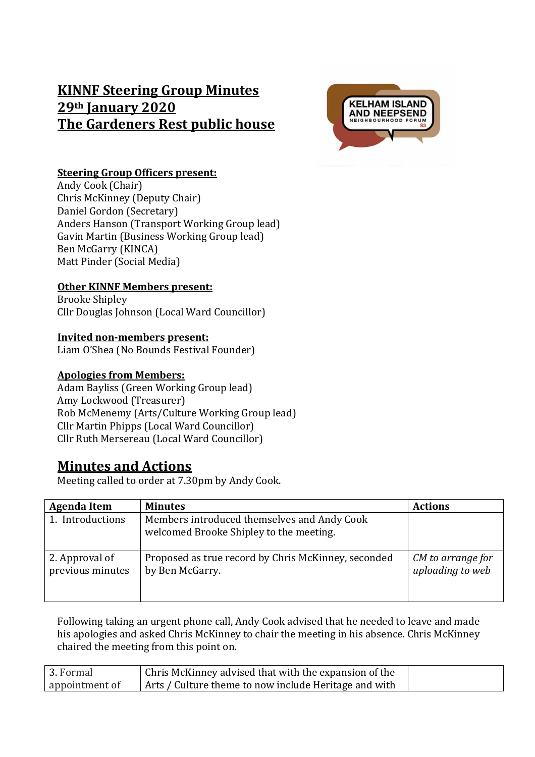# **KINNF Steering Group Minutes 29th January 2020 The Gardeners Rest public house**



#### **Steering Group Officers present:**

Andy Cook (Chair) Chris McKinney (Deputy Chair) Daniel Gordon (Secretary) Anders Hanson (Transport Working Group lead) Gavin Martin (Business Working Group lead) Ben McGarry (KINCA) Matt Pinder (Social Media)

### **Other KINNF Members present:**

Brooke Shipley Cllr Douglas Johnson (Local Ward Councillor)

#### **Invited non-members present:**

Liam O'Shea (No Bounds Festival Founder)

#### **Apologies from Members:**

Adam Bayliss (Green Working Group lead) Amy Lockwood (Treasurer) Rob McMenemy (Arts/Culture Working Group lead) Cllr Martin Phipps (Local Ward Councillor) Cllr Ruth Mersereau (Local Ward Councillor)

## **Minutes and Actions**

Meeting called to order at 7.30pm by Andy Cook.

| <b>Agenda Item</b>                 | <b>Minutes</b>                                                                         | <b>Actions</b>                        |
|------------------------------------|----------------------------------------------------------------------------------------|---------------------------------------|
| 1. Introductions                   | Members introduced themselves and Andy Cook<br>welcomed Brooke Shipley to the meeting. |                                       |
| 2. Approval of<br>previous minutes | Proposed as true record by Chris McKinney, seconded<br>by Ben McGarry.                 | CM to arrange for<br>uploading to web |

Following taking an urgent phone call, Andy Cook advised that he needed to leave and made his apologies and asked Chris McKinney to chair the meeting in his absence. Chris McKinney chaired the meeting from this point on.

| 3. Formal      | Chris McKinney advised that with the expansion of the |
|----------------|-------------------------------------------------------|
| appointment of | Arts / Culture theme to now include Heritage and with |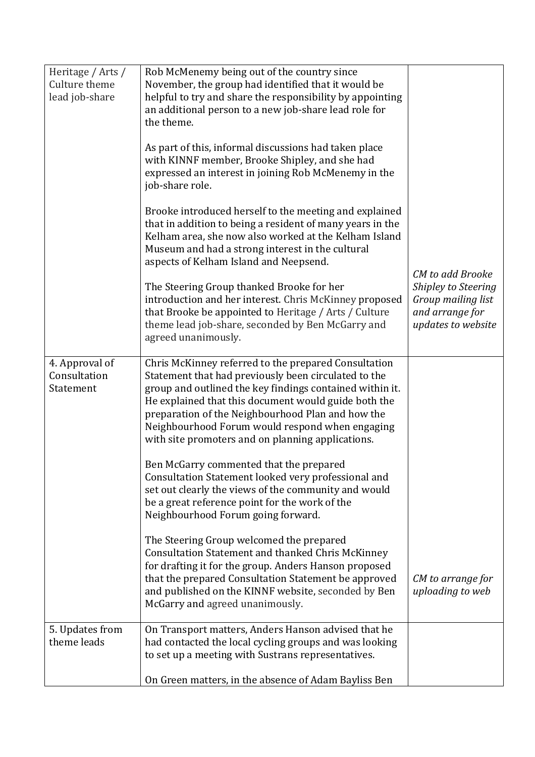| Heritage / Arts /<br>Culture theme<br>lead job-share | Rob McMenemy being out of the country since<br>November, the group had identified that it would be<br>helpful to try and share the responsibility by appointing<br>an additional person to a new job-share lead role for<br>the theme.<br>As part of this, informal discussions had taken place<br>with KINNF member, Brooke Shipley, and she had<br>expressed an interest in joining Rob McMenemy in the<br>job-share role.<br>Brooke introduced herself to the meeting and explained<br>that in addition to being a resident of many years in the<br>Kelham area, she now also worked at the Kelham Island<br>Museum and had a strong interest in the cultural<br>aspects of Kelham Island and Neepsend. |                                                                                                        |
|------------------------------------------------------|------------------------------------------------------------------------------------------------------------------------------------------------------------------------------------------------------------------------------------------------------------------------------------------------------------------------------------------------------------------------------------------------------------------------------------------------------------------------------------------------------------------------------------------------------------------------------------------------------------------------------------------------------------------------------------------------------------|--------------------------------------------------------------------------------------------------------|
|                                                      | The Steering Group thanked Brooke for her<br>introduction and her interest. Chris McKinney proposed<br>that Brooke be appointed to Heritage / Arts / Culture<br>theme lead job-share, seconded by Ben McGarry and<br>agreed unanimously.                                                                                                                                                                                                                                                                                                                                                                                                                                                                   | CM to add Brooke<br>Shipley to Steering<br>Group mailing list<br>and arrange for<br>updates to website |
| 4. Approval of<br>Consultation<br>Statement          | Chris McKinney referred to the prepared Consultation<br>Statement that had previously been circulated to the<br>group and outlined the key findings contained within it.<br>He explained that this document would guide both the<br>preparation of the Neighbourhood Plan and how the<br>Neighbourhood Forum would respond when engaging<br>with site promoters and on planning applications.                                                                                                                                                                                                                                                                                                              |                                                                                                        |
|                                                      | Ben McGarry commented that the prepared<br>Consultation Statement looked very professional and<br>set out clearly the views of the community and would<br>be a great reference point for the work of the<br>Neighbourhood Forum going forward.                                                                                                                                                                                                                                                                                                                                                                                                                                                             |                                                                                                        |
|                                                      | The Steering Group welcomed the prepared<br><b>Consultation Statement and thanked Chris McKinney</b><br>for drafting it for the group. Anders Hanson proposed<br>that the prepared Consultation Statement be approved<br>and published on the KINNF website, seconded by Ben<br>McGarry and agreed unanimously.                                                                                                                                                                                                                                                                                                                                                                                            | CM to arrange for<br>uploading to web                                                                  |
| 5. Updates from<br>theme leads                       | On Transport matters, Anders Hanson advised that he<br>had contacted the local cycling groups and was looking<br>to set up a meeting with Sustrans representatives.<br>On Green matters, in the absence of Adam Bayliss Ben                                                                                                                                                                                                                                                                                                                                                                                                                                                                                |                                                                                                        |